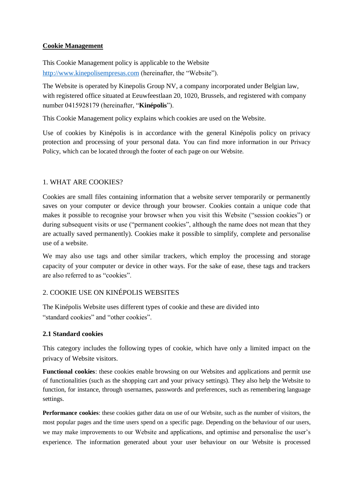## **Cookie Management**

This Cookie Management policy is applicable to the Website [http://www.kinepolisempresas.com](http://www.kinepolisempresas.com/) (hereinafter, the "Website").

The Website is operated by Kinepolis Group NV, a company incorporated under Belgian law, with registered office situated at Eeuwfeestlaan 20, 1020, Brussels, and registered with company number 0415928179 (hereinafter, "**Kinépolis**").

This Cookie Management policy explains which cookies are used on the Website.

Use of cookies by Kinépolis is in accordance with the general Kinépolis policy on privacy protection and processing of your personal data. You can find more information in our Privacy Policy, which can be located through the footer of each page on our Website.

# 1. WHAT ARE COOKIES?

Cookies are small files containing information that a website server temporarily or permanently saves on your computer or device through your browser. Cookies contain a unique code that makes it possible to recognise your browser when you visit this Website ("session cookies") or during subsequent visits or use ("permanent cookies", although the name does not mean that they are actually saved permanently). Cookies make it possible to simplify, complete and personalise use of a website.

We may also use tags and other similar trackers, which employ the processing and storage capacity of your computer or device in other ways. For the sake of ease, these tags and trackers are also referred to as "cookies".

# 2. COOKIE USE ON KINÉPOLIS WEBSITES

The Kinépolis Website uses different types of cookie and these are divided into "standard cookies" and "other cookies".

#### **2.1 Standard cookies**

This category includes the following types of cookie, which have only a limited impact on the privacy of Website visitors.

**Functional cookies**: these cookies enable browsing on our Websites and applications and permit use of functionalities (such as the shopping cart and your privacy settings). They also help the Website to function, for instance, through usernames, passwords and preferences, such as remembering language settings.

**Performance cookies**: these cookies gather data on use of our Website, such as the number of visitors, the most popular pages and the time users spend on a specific page. Depending on the behaviour of our users, we may make improvements to our Website and applications, and optimise and personalise the user's experience. The information generated about your user behaviour on our Website is processed